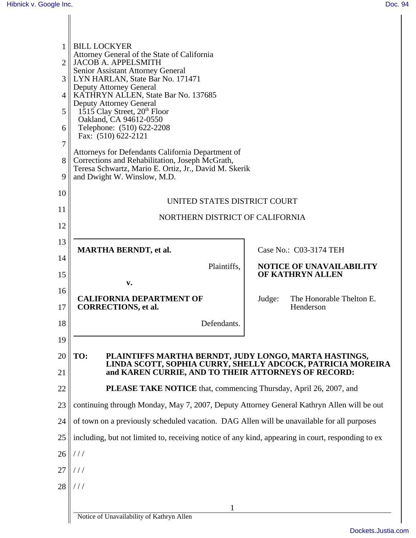| 1<br>$\mathcal{D}_{\mathcal{L}}$<br>3<br>$\overline{4}$<br>5<br>6<br>7<br>8 | <b>BILL LOCKYER</b><br>Attorney General of the State of California<br>JACOB A. APPELSMITH<br>Senior Assistant Attorney General<br>LYN HARLAN, State Bar No. 171471<br><b>Deputy Attorney General</b><br><b>KATHRYN ALLEN, State Bar No. 137685</b><br><b>Deputy Attorney General</b><br>$1515$ Clay Street, $20th$ Floor<br>Oakland, CA 94612-0550<br>Telephone: (510) 622-2208<br>Fax: (510) 622-2121<br>Attorneys for Defendants California Department of<br>Corrections and Rehabilitation, Joseph McGrath,<br>Teresa Schwartz, Mario E. Ortiz, Jr., David M. Skerik |                                    |  |
|-----------------------------------------------------------------------------|-------------------------------------------------------------------------------------------------------------------------------------------------------------------------------------------------------------------------------------------------------------------------------------------------------------------------------------------------------------------------------------------------------------------------------------------------------------------------------------------------------------------------------------------------------------------------|------------------------------------|--|
| 9                                                                           | and Dwight W. Winslow, M.D.                                                                                                                                                                                                                                                                                                                                                                                                                                                                                                                                             |                                    |  |
| 10                                                                          | UNITED STATES DISTRICT COURT                                                                                                                                                                                                                                                                                                                                                                                                                                                                                                                                            |                                    |  |
| 11                                                                          | NORTHERN DISTRICT OF CALIFORNIA                                                                                                                                                                                                                                                                                                                                                                                                                                                                                                                                         |                                    |  |
| 12                                                                          |                                                                                                                                                                                                                                                                                                                                                                                                                                                                                                                                                                         |                                    |  |
| 13                                                                          | <b>MARTHA BERNDT, et al.</b>                                                                                                                                                                                                                                                                                                                                                                                                                                                                                                                                            | Case No.: C03-3174 TEH             |  |
| 14                                                                          | Plaintiffs,                                                                                                                                                                                                                                                                                                                                                                                                                                                                                                                                                             | <b>NOTICE OF UNAVAILABILITY</b>    |  |
| 15                                                                          | v.                                                                                                                                                                                                                                                                                                                                                                                                                                                                                                                                                                      | OF KATHRYN ALLEN                   |  |
| 16                                                                          | <b>CALIFORNIA DEPARTMENT OF</b>                                                                                                                                                                                                                                                                                                                                                                                                                                                                                                                                         | The Honorable Thelton E.<br>Judge: |  |
| 17                                                                          | <b>CORRECTIONS, et al.</b>                                                                                                                                                                                                                                                                                                                                                                                                                                                                                                                                              | Henderson                          |  |
| 18                                                                          | Defendants.                                                                                                                                                                                                                                                                                                                                                                                                                                                                                                                                                             |                                    |  |
| 19                                                                          |                                                                                                                                                                                                                                                                                                                                                                                                                                                                                                                                                                         |                                    |  |
| 20                                                                          | TO:<br>PLAINTIFFS MARTHA BERNDT, JUDY LONGO, MARTA HASTINGS,<br>LINDA SCOTT, SOPHIA CURRY, SHELLY ADCÓCK, PATRICIA MOREIRA                                                                                                                                                                                                                                                                                                                                                                                                                                              |                                    |  |
| 21                                                                          | and KAREN CURRIE, AND TO THEIR ATTORNEYS OF RECORD:                                                                                                                                                                                                                                                                                                                                                                                                                                                                                                                     |                                    |  |
| 22                                                                          | <b>PLEASE TAKE NOTICE</b> that, commencing Thursday, April 26, 2007, and                                                                                                                                                                                                                                                                                                                                                                                                                                                                                                |                                    |  |
| 23                                                                          | continuing through Monday, May 7, 2007, Deputy Attorney General Kathryn Allen will be out                                                                                                                                                                                                                                                                                                                                                                                                                                                                               |                                    |  |
| 24                                                                          | of town on a previously scheduled vacation. DAG Allen will be unavailable for all purposes                                                                                                                                                                                                                                                                                                                                                                                                                                                                              |                                    |  |
| 25                                                                          | including, but not limited to, receiving notice of any kind, appearing in court, responding to ex                                                                                                                                                                                                                                                                                                                                                                                                                                                                       |                                    |  |
| 26                                                                          | //                                                                                                                                                                                                                                                                                                                                                                                                                                                                                                                                                                      |                                    |  |
| 27                                                                          | ///                                                                                                                                                                                                                                                                                                                                                                                                                                                                                                                                                                     |                                    |  |
| 28                                                                          | $\frac{1}{2}$                                                                                                                                                                                                                                                                                                                                                                                                                                                                                                                                                           |                                    |  |
|                                                                             |                                                                                                                                                                                                                                                                                                                                                                                                                                                                                                                                                                         |                                    |  |
|                                                                             | Notice of Unavailability of Kathryn Allen                                                                                                                                                                                                                                                                                                                                                                                                                                                                                                                               |                                    |  |